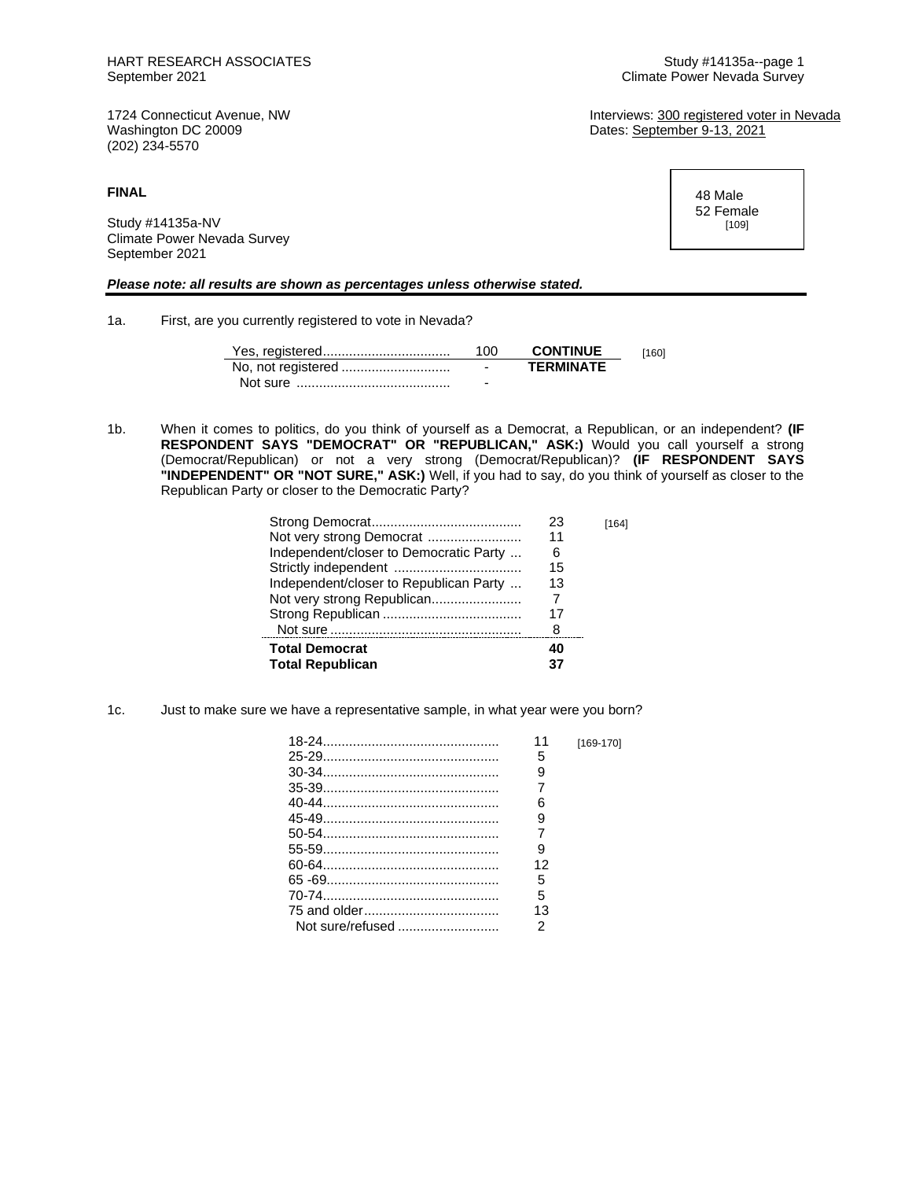(202) 234-5570

**FINAL**

Study #14135a-NV Climate Power Nevada Survey September 2021

## *Please note: all results are shown as percentages unless otherwise stated.*

1a. First, are you currently registered to vote in Nevada?

| 100                      | <b>CONTINUE</b>  | [160] |
|--------------------------|------------------|-------|
| $\overline{\phantom{0}}$ | <b>TFRMINATF</b> |       |
| -                        |                  |       |

1b. When it comes to politics, do you think of yourself as a Democrat, a Republican, or an independent? **(IF RESPONDENT SAYS "DEMOCRAT" OR "REPUBLICAN," ASK:)** Would you call yourself a strong (Democrat/Republican) or not a very strong (Democrat/Republican)? **(IF RESPONDENT SAYS "INDEPENDENT" OR "NOT SURE," ASK:)** Well, if you had to say, do you think of yourself as closer to the Republican Party or closer to the Democratic Party?

|                                        | 23 | [164] |
|----------------------------------------|----|-------|
| Not very strong Democrat               | 11 |       |
| Independent/closer to Democratic Party | 6  |       |
|                                        | 15 |       |
| Independent/closer to Republican Party | 13 |       |
|                                        |    |       |
|                                        | 17 |       |
|                                        | 8  |       |
| <b>Total Democrat</b>                  | 40 |       |
| <b>Total Republican</b>                |    |       |

1c. Just to make sure we have a representative sample, in what year were you born?

| 11 | [169-170] |
|----|-----------|
| 5  |           |
| 9  |           |
|    |           |
| հ  |           |
| 9  |           |
|    |           |
| 9  |           |
| 12 |           |
| 5  |           |
| 5  |           |
| 13 |           |
| 2  |           |

Climate Power Nevada Survey

1724 Connecticut Avenue, NW **Interviews:** 1724 Connecticut Avenue, NW Interviews: 300 registered voter in Nevada<br>
Washington DC 20009 Dates: September 9-13, 2021

> 48 Male 52 Female [109]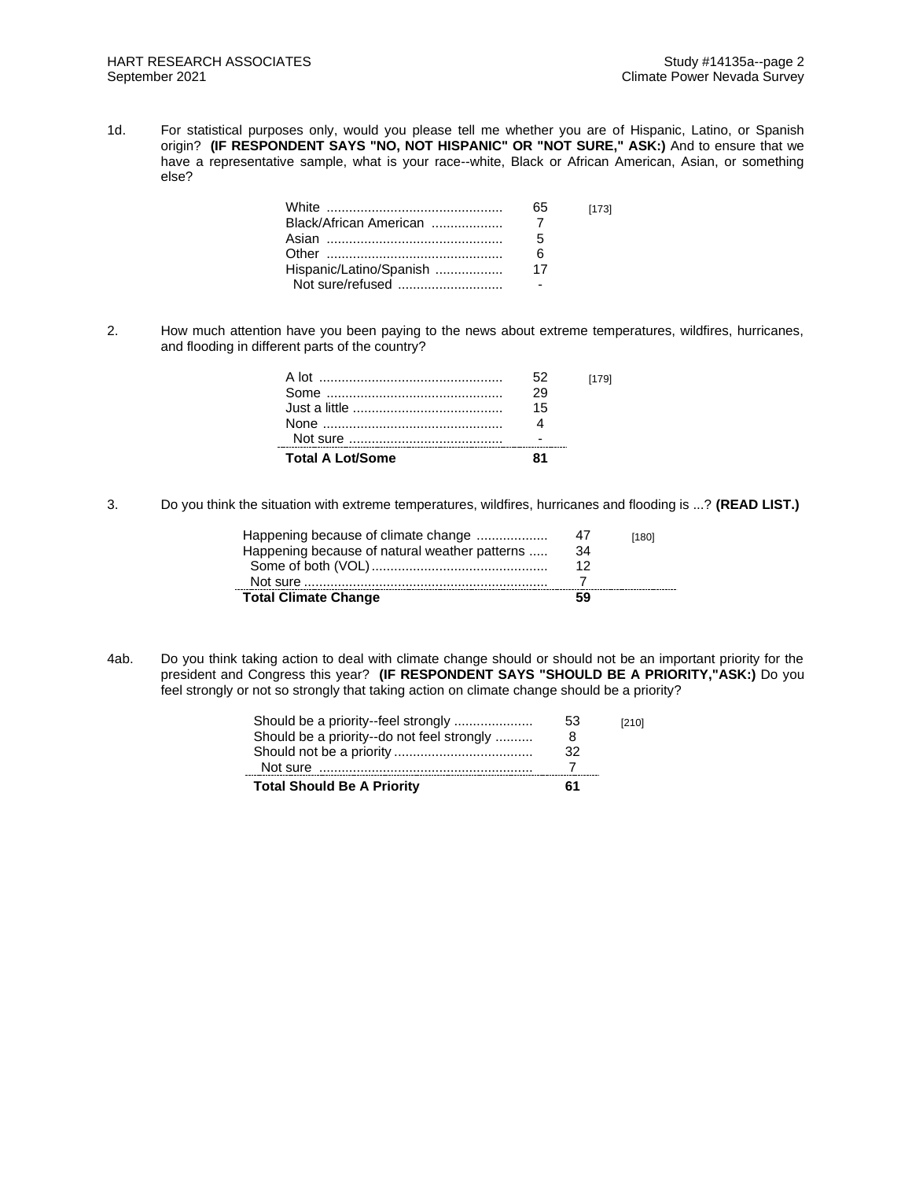1d. For statistical purposes only, would you please tell me whether you are of Hispanic, Latino, or Spanish origin? **(IF RESPONDENT SAYS "NO, NOT HISPANIC" OR "NOT SURE," ASK:)** And to ensure that we have a representative sample, what is your race--white, Black or African American, Asian, or something else?

|                         | 65 | [173] |
|-------------------------|----|-------|
| Black/African American  |    |       |
|                         | 5  |       |
|                         | 6  |       |
| Hispanic/Latino/Spanish | 17 |       |
| Not sure/refused        |    |       |

2. How much attention have you been paying to the news about extreme temperatures, wildfires, hurricanes, and flooding in different parts of the country?

| <b>Total A Lot/Some</b> |    |       |
|-------------------------|----|-------|
|                         |    |       |
|                         |    |       |
|                         | 15 |       |
|                         |    |       |
| A lot …………………………………………  |    | [179] |
|                         |    |       |

3. Do you think the situation with extreme temperatures, wildfires, hurricanes and flooding is ...? **(READ LIST.)**

| Happening because of climate change           | -47 | [180] |
|-----------------------------------------------|-----|-------|
| Happening because of natural weather patterns | 34  |       |
|                                               | 12  |       |
|                                               |     |       |
| <b>Total Climate Change</b>                   | 59  |       |

4ab. Do you think taking action to deal with climate change should or should not be an important priority for the president and Congress this year? **(IF RESPONDENT SAYS "SHOULD BE A PRIORITY,"ASK:)** Do you feel strongly or not so strongly that taking action on climate change should be a priority?

| <b>Total Should Be A Priority</b>          | 61 |       |
|--------------------------------------------|----|-------|
|                                            | 32 |       |
| Should be a priority--do not feel strongly | 8  |       |
| Should be a priority-feel strongly         | 53 | [210] |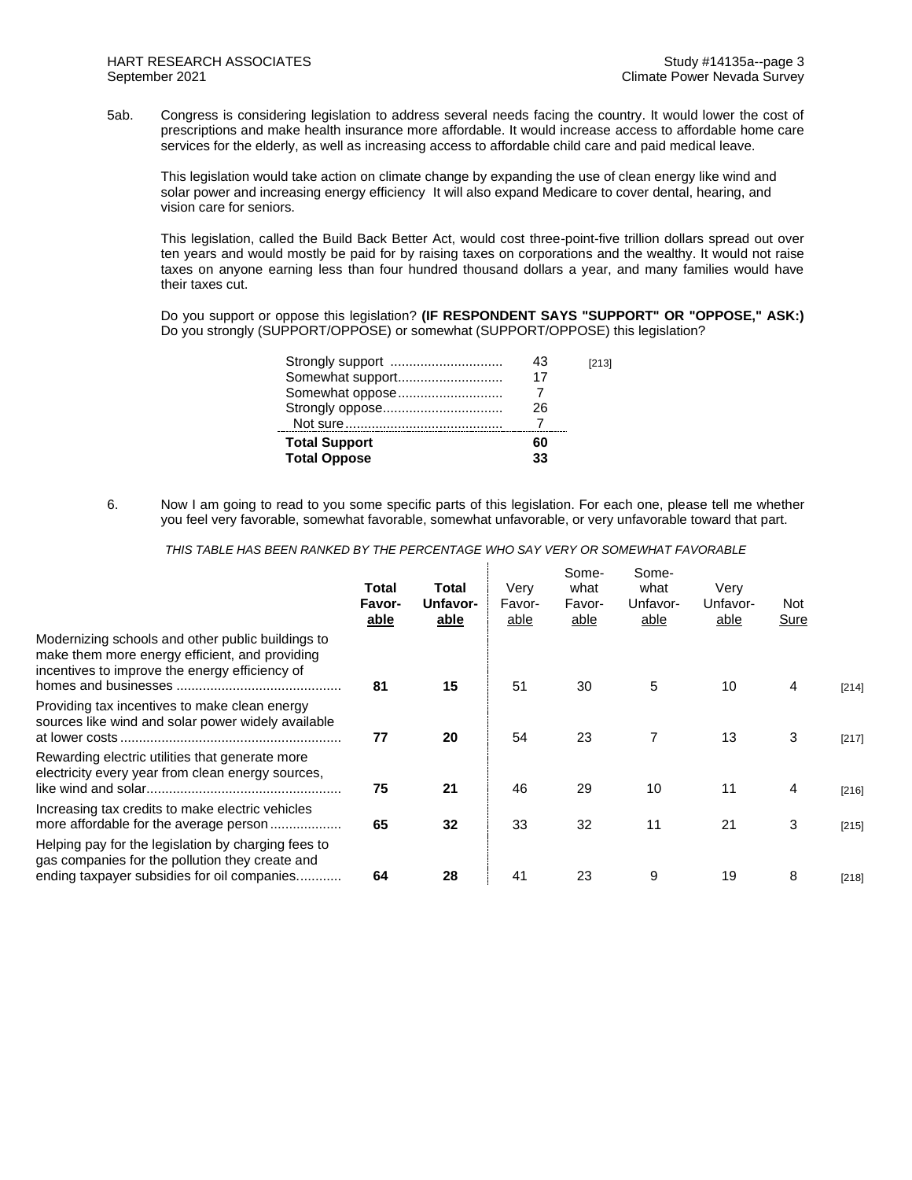5ab. Congress is considering legislation to address several needs facing the country. It would lower the cost of prescriptions and make health insurance more affordable. It would increase access to affordable home care services for the elderly, as well as increasing access to affordable child care and paid medical leave.

This legislation would take action on climate change by expanding the use of clean energy like wind and solar power and increasing energy efficiency It will also expand Medicare to cover dental, hearing, and vision care for seniors.

This legislation, called the Build Back Better Act, would cost three-point-five trillion dollars spread out over ten years and would mostly be paid for by raising taxes on corporations and the wealthy. It would not raise taxes on anyone earning less than four hundred thousand dollars a year, and many families would have their taxes cut.

Do you support or oppose this legislation? **(IF RESPONDENT SAYS "SUPPORT" OR "OPPOSE," ASK:)** Do you strongly (SUPPORT/OPPOSE) or somewhat (SUPPORT/OPPOSE) this legislation?

| [213] |
|-------|
|       |
|       |
|       |
|       |
|       |
|       |
|       |

6. Now I am going to read to you some specific parts of this legislation. For each one, please tell me whether you feel very favorable, somewhat favorable, somewhat unfavorable, or very unfavorable toward that part.

*THIS TABLE HAS BEEN RANKED BY THE PERCENTAGE WHO SAY VERY OR SOMEWHAT FAVORABLE*

|                                                                                                                                                       | Total<br>Favor-<br>able | Total<br>Unfavor-<br>able | Verv<br>Favor-<br>able | Some-<br>what<br>Favor-<br>able | Some-<br>what<br>Unfavor-<br>able | Very<br>Unfavor-<br>able | Not<br><b>Sure</b> |         |
|-------------------------------------------------------------------------------------------------------------------------------------------------------|-------------------------|---------------------------|------------------------|---------------------------------|-----------------------------------|--------------------------|--------------------|---------|
| Modernizing schools and other public buildings to<br>make them more energy efficient, and providing<br>incentives to improve the energy efficiency of | 81                      | 15                        | 51                     | 30                              | 5                                 | 10                       | 4                  | $[214]$ |
| Providing tax incentives to make clean energy<br>sources like wind and solar power widely available                                                   | 77                      | 20                        | 54                     | 23                              | 7                                 | 13                       | 3                  | [217]   |
| Rewarding electric utilities that generate more<br>electricity every year from clean energy sources,                                                  | 75                      | 21                        | 46                     | 29                              | 10                                | 11                       | 4                  | [216]   |
| Increasing tax credits to make electric vehicles<br>more affordable for the average person                                                            | 65                      | 32                        | 33                     | 32                              | 11                                | 21                       | 3                  | [215]   |
| Helping pay for the legislation by charging fees to<br>gas companies for the pollution they create and<br>ending taxpayer subsidies for oil companies | 64                      | 28                        | 41                     | 23                              | 9                                 | 19                       | 8                  | [218]   |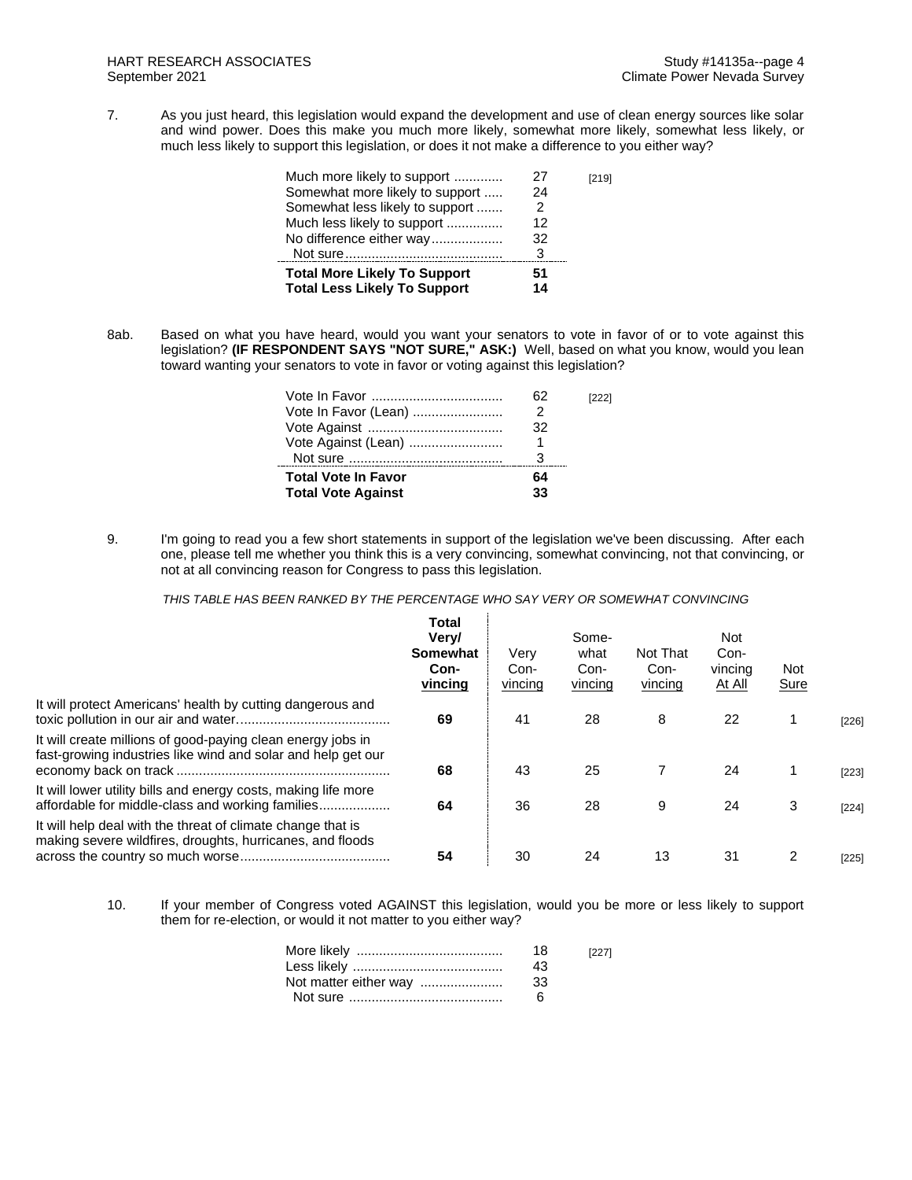7. As you just heard, this legislation would expand the development and use of clean energy sources like solar and wind power. Does this make you much more likely, somewhat more likely, somewhat less likely, or much less likely to support this legislation, or does it not make a difference to you either way?

| Much more likely to support<br>Somewhat more likely to support | 27<br>24 | [219] |
|----------------------------------------------------------------|----------|-------|
| Somewhat less likely to support                                | 2        |       |
| Much less likely to support                                    | 12       |       |
| No difference either way                                       | 32       |       |
|                                                                | 3        |       |
| <b>Total More Likely To Support</b>                            | 51       |       |
| <b>Total Less Likely To Support</b>                            | 14       |       |
|                                                                |          |       |

8ab. Based on what you have heard, would you want your senators to vote in favor of or to vote against this legislation? **(IF RESPONDENT SAYS "NOT SURE," ASK:)** Well, based on what you know, would you lean toward wanting your senators to vote in favor or voting against this legislation?

| Vote In Favor (Lean)<br>Vote Against (Lean)             | 2<br>32<br>1 |  |
|---------------------------------------------------------|--------------|--|
| <b>Total Vote In Favor</b><br><b>Total Vote Against</b> | 64<br>33     |  |

9. I'm going to read you a few short statements in support of the legislation we've been discussing. After each one, please tell me whether you think this is a very convincing, somewhat convincing, not that convincing, or not at all convincing reason for Congress to pass this legislation.

*THIS TABLE HAS BEEN RANKED BY THE PERCENTAGE WHO SAY VERY OR SOMEWHAT CONVINCING*

|                                                                                                                             | <b>Total</b><br>Very/<br>Somewhat<br>Con-<br>vincing | Very<br>Con-<br>vincing | Some-<br>what<br>Con-<br>vincing | Not That<br>Con-<br>vincing | <b>Not</b><br>Con-<br>vincing<br><u>At All</u> | Not.<br><b>Sure</b> |         |
|-----------------------------------------------------------------------------------------------------------------------------|------------------------------------------------------|-------------------------|----------------------------------|-----------------------------|------------------------------------------------|---------------------|---------|
| It will protect Americans' health by cutting dangerous and                                                                  | 69                                                   | 41                      | 28                               | 8                           | 22                                             |                     | $[226]$ |
| It will create millions of good-paying clean energy jobs in<br>fast-growing industries like wind and solar and help get our | 68                                                   | 43                      | 25                               |                             | 24                                             |                     | [223]   |
| It will lower utility bills and energy costs, making life more<br>affordable for middle-class and working families          | 64                                                   | 36                      | 28                               | 9                           | 24                                             | 3                   | $[224]$ |
| It will help deal with the threat of climate change that is<br>making severe wildfires, droughts, hurricanes, and floods    | 54                                                   | 30                      | 24                               | 13                          | 31                                             | 2                   | $[225]$ |

10. If your member of Congress voted AGAINST this legislation, would you be more or less likely to support them for re-election, or would it not matter to you either way?

| 18<br>43 | [227] |
|----------|-------|
| -33      |       |
|          |       |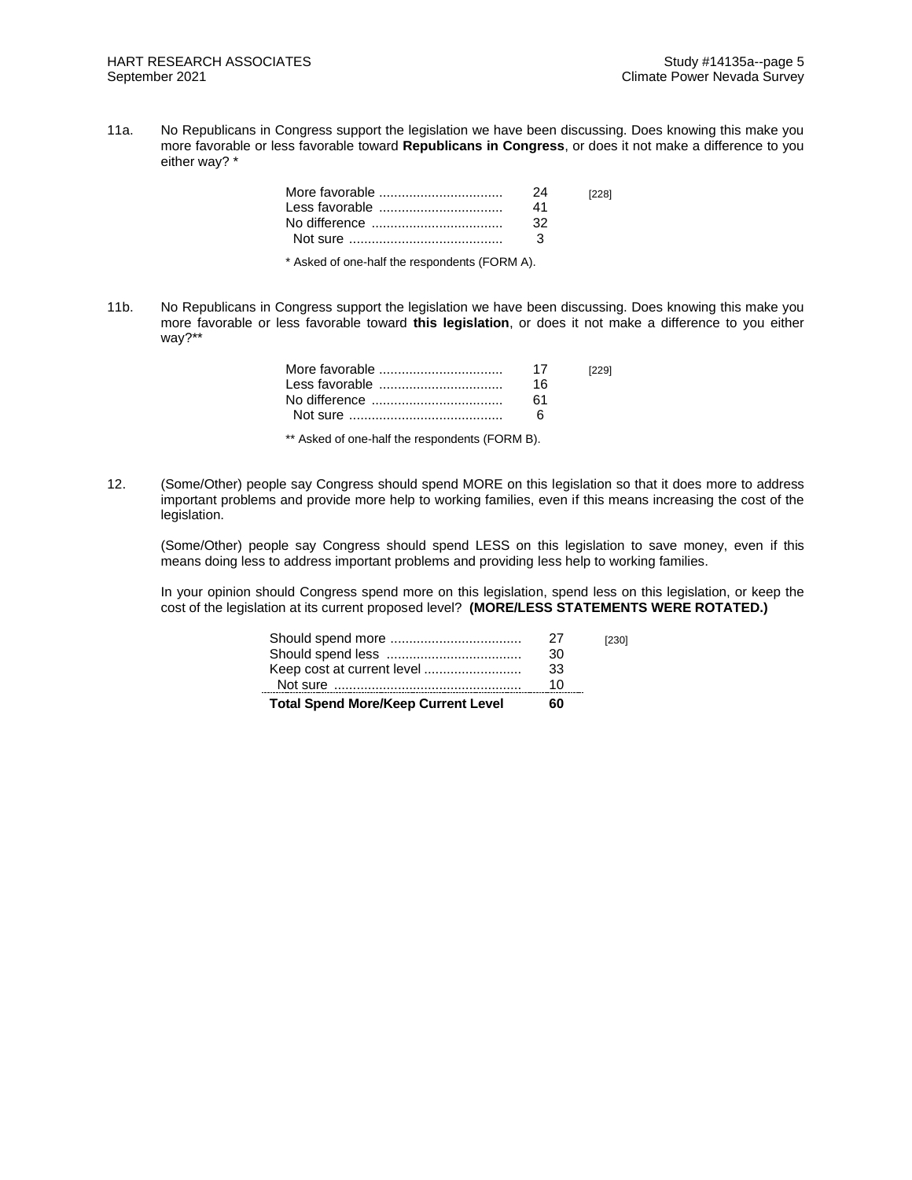11a. No Republicans in Congress support the legislation we have been discussing. Does knowing this make you more favorable or less favorable toward **Republicans in Congress**, or does it not make a difference to you either way? \*

|                                               | 24<br>41<br>32<br>ર | [228] |
|-----------------------------------------------|---------------------|-------|
| * Asked of one-half the respondents (FORM A). |                     |       |

11b. No Republicans in Congress support the legislation we have been discussing. Does knowing this make you more favorable or less favorable toward **this legislation**, or does it not make a difference to you either way?\*\*

| 17<br>16. | [229] |
|-----------|-------|
| 61        |       |
|           |       |

\*\* Asked of one-half the respondents (FORM B).

12. (Some/Other) people say Congress should spend MORE on this legislation so that it does more to address important problems and provide more help to working families, even if this means increasing the cost of the legislation.

(Some/Other) people say Congress should spend LESS on this legislation to save money, even if this means doing less to address important problems and providing less help to working families.

In your opinion should Congress spend more on this legislation, spend less on this legislation, or keep the cost of the legislation at its current proposed level? **(MORE/LESS STATEMENTS WERE ROTATED.)**

| <b>Total Spend More/Keep Current Level</b> | 60  |       |
|--------------------------------------------|-----|-------|
|                                            | 10. |       |
| Keep cost at current level                 | 33  |       |
|                                            | 30  |       |
|                                            | 27  | [230] |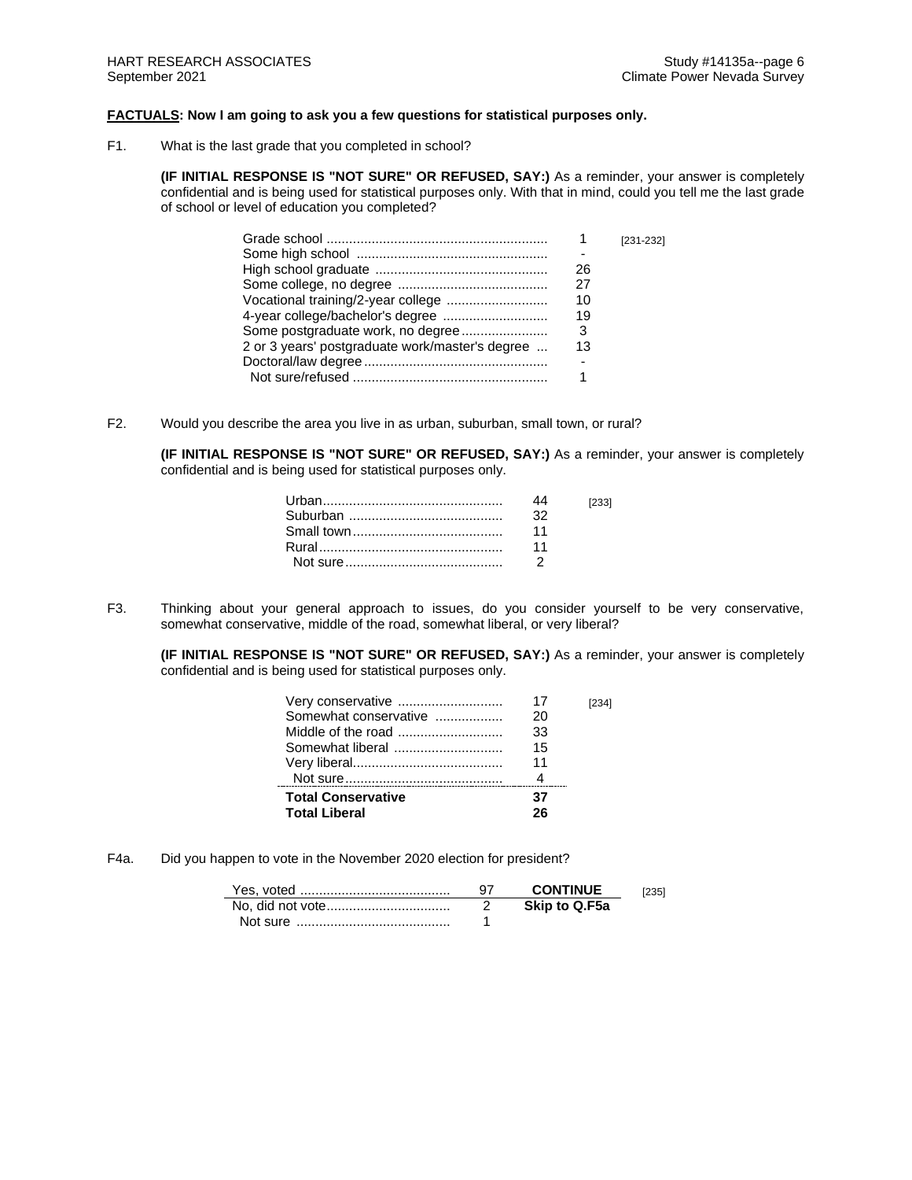## **FACTUALS: Now I am going to ask you a few questions for statistical purposes only.**

F1. What is the last grade that you completed in school?

**(IF INITIAL RESPONSE IS "NOT SURE" OR REFUSED, SAY:)** As a reminder, your answer is completely confidential and is being used for statistical purposes only. With that in mind, could you tell me the last grade of school or level of education you completed?

|                                                       | $[231 - 232]$ |
|-------------------------------------------------------|---------------|
|                                                       |               |
| 26                                                    |               |
| 27                                                    |               |
| 10                                                    |               |
| 19                                                    |               |
| Some postgraduate work, no degree<br>- 3              |               |
| 2 or 3 years' postgraduate work/master's degree<br>13 |               |
|                                                       |               |
|                                                       |               |

F2. Would you describe the area you live in as urban, suburban, small town, or rural?

**(IF INITIAL RESPONSE IS "NOT SURE" OR REFUSED, SAY:)** As a reminder, your answer is completely confidential and is being used for statistical purposes only.

|     | [233] |
|-----|-------|
| -32 |       |
| 11  |       |
| 11  |       |
|     |       |

F3. Thinking about your general approach to issues, do you consider yourself to be very conservative, somewhat conservative, middle of the road, somewhat liberal, or very liberal?

**(IF INITIAL RESPONSE IS "NOT SURE" OR REFUSED, SAY:)** As a reminder, your answer is completely confidential and is being used for statistical purposes only.

| Very conservative         | 17 |  |
|---------------------------|----|--|
| Somewhat conservative     | 20 |  |
|                           | 33 |  |
|                           | 15 |  |
|                           | 11 |  |
|                           |    |  |
| <b>Total Conservative</b> | 37 |  |
| <b>Total Liberal</b>      |    |  |

F4a. Did you happen to vote in the November 2020 election for president?

|          | <b>CONTINUE</b> | 12351 |
|----------|-----------------|-------|
|          | Skip to Q.F5a   |       |
| Not sure |                 |       |